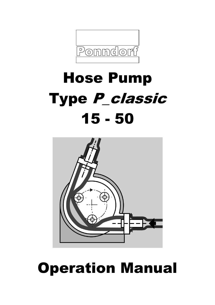

# Hose Pump Type P\_classic 15 - 50



# Operation Manual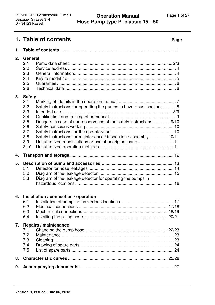# **1. Table of contents Page**

| 1. |                                                                                                                                                                                                                                                                                                          |
|----|----------------------------------------------------------------------------------------------------------------------------------------------------------------------------------------------------------------------------------------------------------------------------------------------------------|
| 2. | <b>General</b><br>2.1<br>2.2<br>2.3<br>2.4<br>2.5<br>2.6                                                                                                                                                                                                                                                 |
| 3. | <b>Safety</b><br>3.1<br>Safety instructions for operating the pumps in hazardous locations 8<br>3.2<br>3.3<br>3.4<br>3.5<br>Dangers in case of non-observance of the safety instructions  9/10<br>3.6<br>3.7<br>Safety instructions for maintenance / inspection / assembly  10/11<br>3.8<br>3.9<br>3.10 |
| 4. |                                                                                                                                                                                                                                                                                                          |
| 5. | 5.1<br>5.2<br>Diagram of the leakage detector for operating the pumps in<br>5.3                                                                                                                                                                                                                          |
| 6. | Installation / connection / operation<br>6.1<br>6.2<br>6.3<br>6.4                                                                                                                                                                                                                                        |
| 7. | Repairs / maintenance<br>7.1<br>7.2<br>7.3<br>7.4<br>7.5                                                                                                                                                                                                                                                 |
| 8. |                                                                                                                                                                                                                                                                                                          |
| 9. |                                                                                                                                                                                                                                                                                                          |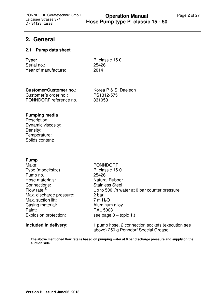# **2. General**

#### **2.1 Pump data sheet**

| Type:                | P classic $150 -$ |
|----------------------|-------------------|
| Serial no.:          | 25426             |
| Year of manufacture: | 2014              |

### **Customer/Customer no.:** Korea P & S; Daejeon

Customer´s order no.: PS1312-575 PONNDORF reference no.: 331053

#### **Pumping media**

Description: Dynamic viscosity: Density: Temperature: Solids content:

#### **Pump**

Make: PONNDORF Type (model/size) P classic 15-0 Pump no.: 25426 Hose materials: Natural Rubber Connections: Stainless Steel<br>Flow rate <sup>1</sup>: Up to 500 l/h was Max. discharge pressure: 2 bar Max. suction lift:  $\begin{array}{ccc} 7 \text{ m H}_2\text{O} \\ \text{Casing material:} \end{array}$  Aluminum alloy Casing material: Paint: RAL 5003 Explosion protection: see page 3 – topic 1.)

Up to 500 l/h water at 0 bar counter pressure

**Included in delivery:** 1 pump hose, 2 connection sockets (execution see above) 250 g Ponndorf Special Grease

1) **The above mentioned flow rate is based on pumping water at 0 bar discharge pressure and supply on the suction side.**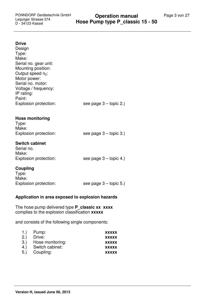#### **Drive**

| Design<br>Type:<br>Make:<br>Serial no. gear unit:<br>Mounting position:<br>Output speed n <sub>2</sub> : |                          |
|----------------------------------------------------------------------------------------------------------|--------------------------|
| Motor power:<br>Serial no. motor:<br>Voltage / frequency:<br>IP rating:<br>Paint:                        |                          |
| Explosion protection:                                                                                    | see page $3 -$ topic 2.) |
| <b>Hose monitoring</b><br>Type:<br>Make:<br>Explosion protection:                                        | see page $3 -$ topic 3.) |
| <b>Switch cabinet</b><br>Serial no.<br>Make:<br>Explosion protection:                                    | see page $3 -$ topic 4.) |
| Coupling<br>Type:<br>Make:<br>Explosion protection:                                                      | see page $3 -$ topic 5.) |

#### **Application in area exposed to explosion hazards**

The hose pump delivered type **P\_classic xx xxxx**  complies to the explosion classification **xxxxx**

and consists of the following single components:

| 1.  | Pump:            | <b>XXXXX</b> |
|-----|------------------|--------------|
| 2.) | Drive:           | <b>XXXXX</b> |
| 3.) | Hose monitoring: | <b>XXXXX</b> |
| 4.  | Switch cabinet:  | <b>XXXXX</b> |
| 5.  | Coupling:        | <b>XXXXX</b> |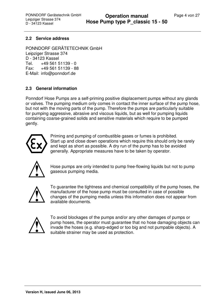#### **2.2 Service address**

PONNDORF GERÄTETECHNIK GmbH Leipziger Strasse 374 D - 34123 Kassel Tel. +49 561 51139 - 0 Fax: +49 561 51139 - 88 E-Mail: info@ponndorf.de

#### **2.3 General information**

Ponndorf Hose Pumps are a self-priming positive displacement pumps without any glands or valves. The pumping medium only comes in contact the inner surface of the pump hose, but not with the moving parts of the pump. Therefore the pumps are particularly suitable for pumping aggressive, abrasive and viscous liquids, but as well for pumping liquids containing coarse-grained solids and sensitive materials which require to be pumped gently.



Priming and pumping of combustible gases or fumes is prohibited. Start up and close down operations which require this should only be rarely and kept as short as possible. A dry run of the pump has to be avoided generally. Appropriate measures have to be taken by operator.



Hose pumps are only intended to pump free-flowing liquids but not to pump gaseous pumping media.



To guarantee the tightness and chemical compatibility of the pump hoses, the manufacturer of the hose pump must be consulted in case of possible changes of the pumping media unless this information does not appear from available documents.



To avoid blockages of the pumps and/or any other damages of pumps or pump hoses, the operator must guarantee that no hose damaging objects can invade the hoses (e.g. sharp-edged or too big and not pumpable objects). A suitable strainer may be used as protection.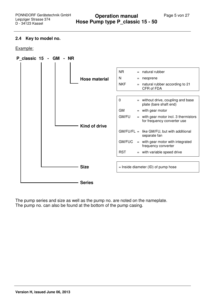#### **2.4 Key to model no.**

Example:



The pump series and size as well as the pump no. are noted on the nameplate. The pump no. can also be found at the bottom of the pump casing.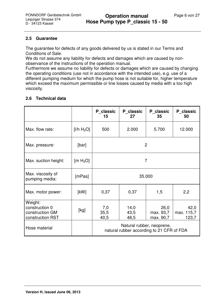#### **2.5 Guarantee**

The guarantee for defects of any goods delivered by us is stated in our Terms and Conditions of Sale.

We do not assume any liability for defects and damages which are caused by nonobservance of the instructions of the operation manual.

Furthermore we assume no liability for defects or damages which are caused by changing the operating conditions (use not in accordance with the intended use), e.g. use of a different pumping medium for which the pump hose is not suitable for, higher temperature which exceed the maximum permissible or line losses caused by media with a too high viscosity.

#### **2.6 Technical data**

|                                                                  |                            | P classic<br>15                                                        | P classic<br>27      | P classic<br>35                | P classic<br>50             |  |
|------------------------------------------------------------------|----------------------------|------------------------------------------------------------------------|----------------------|--------------------------------|-----------------------------|--|
| Max. flow rate:                                                  | [1/h H <sub>2</sub> O]     | 500                                                                    | 2.000                | 5.700                          | 12.000                      |  |
| Max. pressure:                                                   | [bar]                      | $\overline{2}$                                                         |                      |                                |                             |  |
| Max. suction height:                                             | $\text{[m H}_{2}\text{O}]$ | 7                                                                      |                      |                                |                             |  |
| Max. viscosity of<br>pumping media:                              | [mPas]                     | 35.000                                                                 |                      |                                |                             |  |
| Max. motor power:                                                | [kW]                       | 0,37<br>2,2<br>0,37<br>1,5                                             |                      |                                |                             |  |
| Weight:<br>construction 0<br>construction GM<br>construction RST | [kg]                       | 7,0<br>35,5<br>40,5                                                    | 14,0<br>43,5<br>48,5 | 26,0<br>max. 93,7<br>max. 90,7 | 42,0<br>max. 115,7<br>123,7 |  |
| Hose material                                                    |                            | Natural rubber, neoprene,<br>natural rubber according to 21 CFR of FDA |                      |                                |                             |  |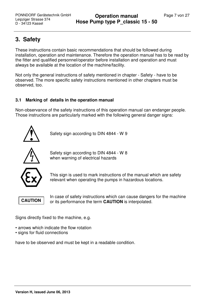# **3. Safety**

These instructions contain basic recommendations that should be followed during installation, operation and maintenance. Therefore the operation manual has to be read by the fitter and qualified personnel/operator before installation and operation and must always be available at the location of the machine/facility.

Not only the general instructions of safety mentioned in chapter - Safety - have to be observed. The more specific safety instructions mentioned in other chapters must be observed, too.

### **3.1 Marking of details in the operation manual**

Non-observance of the safety instructions of this operation manual can endanger people. Those instructions are particularly marked with the following general danger signs:



Safety sign according to DIN 4844 - W 9



Safety sign according to DIN 4844 - W 8 when warning of electrical hazards



This sign is used to mark instructions of the manual which are safety relevant when operating the pumps in hazardous locations.



In case of safety instructions which can cause dangers for the machine or its performance the term **CAUTION** is interpolated.

Signs directly fixed to the machine, e.g.

- arrows which indicate the flow rotation
- signs for fluid connections

have to be observed and must be kept in a readable condition.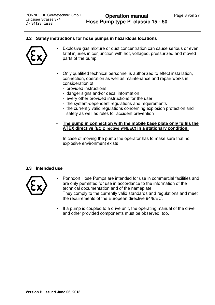#### **3.2 Safety instructions for hose pumps in hazardous locations**



- Explosive gas mixture or dust concentration can cause serious or even fatal injuries in conjunction with hot, voltaged, pressurized and moved parts of the pump
- Only qualified technical personnel is authorized to effect installation, connection, operation as well as maintenance and repair works in consideration of
	- provided instructions
	- danger signs and/or decal information
	- every other provided instructions for the user
	- the system-dependent regulations and requirements
	- the currently valid regulations concerning explosion protection and safety as well as rules for accident prevention

#### • **The pump in connection with the mobile base plate only fulfils the ATEX directive (EC Directive 94/9/EC) in a stationary condition.**

In case of moving the pump the operator has to make sure that no explosive environment exists!

#### **3.3 Intended use**



- Ponndorf Hose Pumps are intended for use in commercial facilities and are only permitted for use in accordance to the information of the technical documentation and of the nameplate. They comply to the currently valid standards and regulations and meet the requirements of the European directive 94/9/EC.
- If a pump is coupled to a drive unit, the operating manual of the drive and other provided components must be observed, too.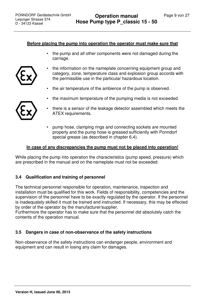#### **Before placing the pump into operation the operator must make sure that**

 • the pump and all other components were not damaged during the carriage.



- the air temperature of the ambience of the pump is observed.
- the maximum temperature of the pumping media is not exceeded.
- 
- there is a sensor of the leakage detector assembled which meets the ATEX requirements.
- pump hose, clamping rings and connecting sockets are mounted properly and the pump hose is greased sufficiently with Ponndorf special grease (as described in chapter 6.4).

#### **In case of any discrepancies the pump must not be placed into operation!**

While placing the pump into operation the characteristics (pump speed, pressure) which are prescribed in the manual and on the nameplate must not be exceeded.

#### **3.4 Qualification and training of personnel**

The technical personnel responsible for operation, maintenance, inspection and installation must be qualified for this work. Fields of responsibility, competencies and the supervision of the personnel have to be exactly regulated by the operator. If the personnel is inadequately skilled it must be trained and instructed. If necessary, this may be effected by order of the operator by the manufacturer/supplier.

Furthermore the operator has to make sure that the personnel did absolutely catch the contents of the operation manual.

#### **3.5 Dangers in case of non-observance of the safety instructions**

Non-observance of the safety instructions can endanger people, environment and equipment and can result in losing any claim for damages.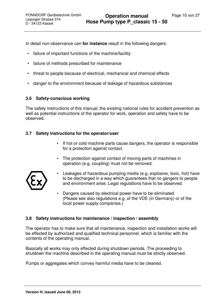In detail non-observance can **for instance** result in the following dangers:

- failure of important functions of the machine/facility
- failure of methods prescribed for maintenance
- threat to people because of electrical, mechanical and chemical effects
- danger to the environment because of leakage of hazardous substances

#### **3.6 Safety-conscious working**

The safety instructions of this manual, the existing national rules for accident prevention as well as potential instructions of the operator for work, operation and safety have to be observed.

#### **3.7 Safety instructions for the operator/user**

- If hot or cold machine parts cause dangers, the operator is responsible for a protection against contact.
- The protection against contact of moving parts of machines in operation (e.g. coupling) must not be removed.



- Leakages of hazardous pumping media (e.g. explosive, toxic, hot) have to be discharged in a way which guarantees that no gangers to people and environment arise. Legal regulations have to be observed.
- Dangers caused by electrical power have to be eliminated. (Please see also regulations e.g. of the VDE (in Germany) or of the local power supply companies.)

#### **3.8 Safety instructions for maintenance / inspection / assembly**

The operator has to make sure that all maintenance, inspection and installation works will be effected by authorized and qualified technical personnel, which is familiar with the contents of the operating manual.

Basically all works may only effected during shutdown periods. The proceeding to shutdown the machine described in the operating manual must be strictly observed.

Pumps or aggregates which convey harmful media have to be cleaned.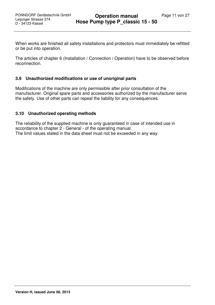When works are finished all safety installations and protectors must immediately be refitted or be put into operation.

The articles of chapter 6 (Installation / Connection / Operation) have to be observed before reconnection.

#### **3.9 Unauthorized modifications or use of unoriginal parts**

Modifications of the machine are only permissible after prior consultation of the manufacturer. Original spare parts and accessories authorized by the manufacturer serve the safety. Use of other parts can repeal the liability for any consequences.

#### **3.10 Unauthorized operating methods**

The reliability of the supplied machine is only guaranteed in case of intended use in accordance to chapter 2 - General - of the operating manual. The limit values stated in the data sheet must not be exceeded in any way.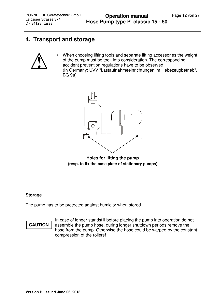# **4. Transport and storage**



When choosing lifting tools and separate lifting accessories the weight of the pump must be took into consideration. The corresponding accident prevention regulations have to be observed. (In Germany: UVV "Lastaufnahmeeinrichtungen im Hebezeugbetrieb", BG 9a)



**Holes for lifting the pump (resp. to fix the base plate of stationary pumps)** 

#### **Storage**

The pump has to be protected against humidity when stored.

# **CAUTION**

 In case of longer standstill before placing the pump into operation do not assemble the pump hose, during longer shutdown periods remove the hose from the pump. Otherwise the hose could be warped by the constant compression of the rollers!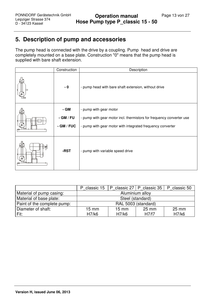# **5. Description of pump and accessories**

The pump head is connected with the drive by a coupling. Pump head and drive are completely mounted on a base plate. Construction "0" means that the pump head is supplied with bare shaft extension.

| Construction                     | Description                                                                                                                                                  |
|----------------------------------|--------------------------------------------------------------------------------------------------------------------------------------------------------------|
| $-0$                             | - pump head with bare shaft extension, without drive                                                                                                         |
| - GM<br>- GM / FU<br>$-GM / FUC$ | - pump with gear motor<br>- pump with gear motor incl. thermistors for frequency converter use<br>- pump with gear motor with integrated frequency converter |
| -RST                             | - pump with variable speed drive                                                                                                                             |

|                             | classic 15<br>P     | P               | classic $27 \mid P$ classic 35 | classic 50<br>P |  |
|-----------------------------|---------------------|-----------------|--------------------------------|-----------------|--|
| Material of pump casing:    | Aluminium alloy     |                 |                                |                 |  |
| Material of base plate:     | Steel (standard)    |                 |                                |                 |  |
| Paint of the complete pump: | RAL 5003 (standard) |                 |                                |                 |  |
| Diameter of shaft:          | $15 \text{ mm}$     | $15 \text{ mm}$ | $25 \text{ mm}$                | $25 \text{ mm}$ |  |
| Fit:                        | H7/k6               | H7/k6           | H7/f7                          | H7/k6           |  |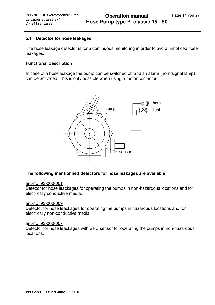#### **5.1 Detector for hose leakages**

The hose leakage detector is for a continuous monitoring in order to avoid unnoticed hose leakages.

#### **Functional description**

In case of a hose leakage the pump can be switched off and an alarm (horn/signal lamp) can be activated. This is only possible when using a motor contactor.



#### **The following mentionned detectors for hose leakages are available:**

#### art.-no. 93-000-001

Detecor for hose leackages for operating the pumps in non-hazardous locations and for electrically conductive media.

#### art.-no. 93-000-009

Detector for hose leackages for operating the pumps in hazardous locations and for electrically non-conductive media.

#### art.-no. 93-000-007

Detector for hose leackages with SPC sensor for operating the pumps in non-hazardous locations.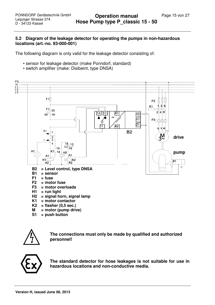#### **5.2 Diagram of the leakage detector for operating the pumps in non-hazardous locations (art.-no. 93-000-001)**

The following diagram is only valid for the leakage detector consisting of:

- sensor for leakage detector (make Ponndorf, standard)
- switch amplifier (make: Disibeint, type DNSA)



**S1 = push button**



**The connections must only be made by qualified and authorized personnel!** 



**The standard detector for hose leakages is not suitable for use in hazardous locations and non-conductive media.**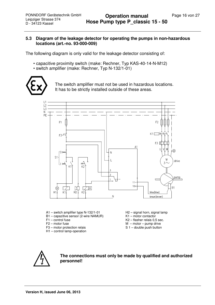#### **5.3 Diagram of the leakage detector for operating the pumps in non-hazardous locations (art.-no. 93-000-009)**

The following diagram is only valid for the leakage detector consisting of:

- capacitive proximity switch (make: Rechner, Typ KAS-40-14-N-M12)
- switch amplifier (make: Rechner, Typ N-132/1-01)



The switch amplifier must not be used in hazardous locations. It has to be strictly installed outside of these areas.



- A1 switch amplifier type N-132/1-01
- B1 capazitive sensor (2-wire NAMUR)
- $F1$  control fuse
- F2 motor fuse
- F3 motor protection relais
- H1 control lamp-operation
- H<sub>2</sub> signal horn, signal lamp
- K1 motor contactor
- K2 flasher relais 0,5 sec.
- M motor pump drive
- S 1 double push button



**The connections must only be made by qualified and authorized personnel!**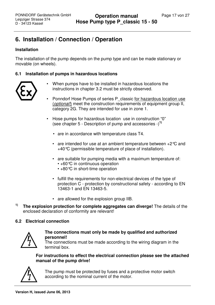# **6. Installation / Connection / Operation**

#### **Installation**

The installation of the pump depends on the pump type and can be made stationary or movable (on wheels).

#### **6.1 Installation of pumps in hazardous locations**



- When pumps have to be installed in hazardous locations the instructions in chapter 3.2 must be strictly observed.
- Ponndorf Hose Pumps of series P\_classic for hazardous location use (*optional!*) meet the construction requirements of equipment group II, category 2G. They are intended for use in zone 1.
- Hose pumps for hazardous location use in construction "0" (see chapter 5 - Description of pump and accessories -)**1)**
	- are in accordance with temperature class T4.
	- are intended for use at an ambient temperature between  $+2^{\circ}C$  and +40°C (permissible temperature of place of installation).
	- are suitable for pumping media with a maximum temperature of: • +60 °C in continuous operation • +80 °C in short-time operation
	- fulfill the requirements for non-electrical devices of the type of protection C - protection by constructional safety - according to EN 13463-1 and EN 13463-5.
	- are allowed for the explosion group IIB.
- **1) The explosion protection for complete aggregates can diverge!** The details of the enclosed declaration of conformity are relevant!

#### **6.2 Electrical connection**



#### **The connections must only be made by qualified and authorized personnel!**

The connections must be made according to the wiring diagram in the terminal box.

#### **For instructions to effect the electrical connection please see the attached manual of the pump drive!**



The pump must be protected by fuses and a protective motor switch according to the nominal current of the motor.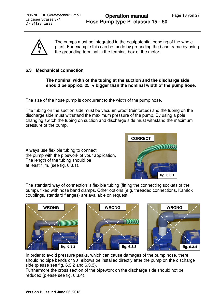

The pumps must be integrated in the equipotential bonding of the whole plant. For example this can be made by grounding the base frame by using the grounding terminal in the terminal box of the motor.

#### **6.3 Mechanical connection**

**The nominal width of the tubing at the suction and the discharge side should be approx. 25 % bigger than the nominal width of the pump hose.** 

The size of the hose pump is concurrent to the width of the pump hose.

The tubing on the suction side must be vacuum proof (reinforced) and the tubing on the discharge side must withstand the maximum pressure of the pump. By using a pole changing switch the tubing on suction and discharge side must withstand the maximum pressure of the pump.

Always use flexible tubing to connect the pump with the pipework of your application. The length of the tubing should be at least 1 m. (see fig. 6.3.1).



The standard way of connection is flexible tubing (fitting the connecting sockets of the pump), fixed with hose band clamps. Other options (e.g. threaded connections, Kamlok couplings, standard flanges) are available on request.







In order to avoid pressure peaks, which can cause damages of the pump hose, there should no pipe bends or 90° elbows be installed directly after the pump on the discharge side (please see fig. 6.3.2 and 6.3.3).

Furthermore the cross section of the pipework on the discharge side should not be reduced (please see fig. 6.3.4).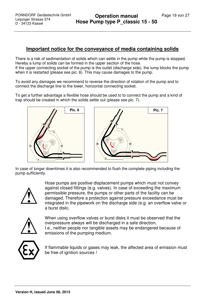#### **Important notice for the conveyance of media containing solids**

There is a risk of sedimentation of solids which can settle in the pump while the pump is stopped. Hereby a lump of solids can be formed in the upper section of the hose. If the upper connecting socket of the pump is the outlet (discharge side), the lump blocks the pump when it is restarted (please see pic. 6). This may cause damages to the pump.

To avoid any damages we recommend to reverse the direction of rotation of the pump and to connect the discharge line to the lower, horizontal connecting socket.

To get a further advantage a flexible hose should be used to to connect the pump and a kind of trap should be created in which the solids settle out (please see pic. 7).



In case of longer downtimes it is also recommended to flush the complete piping including the pump sufficiently.



Hose pumps are positive displacement pumps which must not convey against closed fittings (e.g. valves). In case of exceeding the maximum permissible pressure, the pumps or other parts of the facility can be damaged. Therefore a protection against pressure exceedance must be integrated in the pipework on the discharge side (e.g. an overflow valve or a burst disk).



When using overflow valves or burst disks it must be observed that the overpressure always will be discharged in a safe direction. I.e., neither people nor tangible assets may be endangered because of emissions of the pumping medium.



If flammable liquids or gases may leak, the affected area of emission must be free of ignition sources !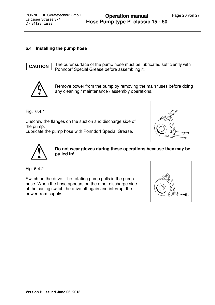#### **6.4 Installing the pump hose**

### **CAUTION**

The outer surface of the pump hose must be lubricated sufficiently with Ponndorf Special Grease before assembling it.



Remove power from the pump by removing the main fuses before doing any cleaning / maintenance / assembly operations.

Fig. 6.4.1

Unscrew the flanges on the suction and discharge side of the pump.

Lubricate the pump hose with Ponndorf Special Grease.





**Do not wear gloves during these operations because they may be pulled in!** 

Fig. 6.4.2

Switch on the drive. The rotating pump pulls in the pump hose. When the hose appears on the other discharge side of the casing switch the drive off again and interrupt the power from supply.

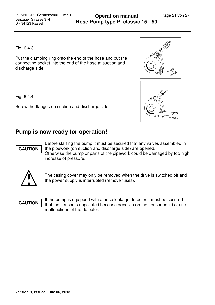Fig. 6.4.3

Put the clamping ring onto the end of the hose and put the connecting socket into the end of the hose at suction and discharge side.

Fig. 6.4.4

Screw the flanges on suction and discharge side.



# **Pump is now ready for operation!**



Before starting the pump it must be secured that any valves assembled in the pipework (on suction and discharge side) are opened. Otherwise the pump or parts of the pipework could be damaged by too high increase of pressure.



The casing cover may only be removed when the drive is switched off and the power supply is interrupted (remove fuses).

# **CAUTION**

If the pump is equipped with a hose leakage detector it must be secured that the sensor is unpolluted because deposits on the sensor could cause malfunctions of the detector.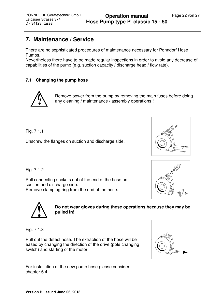# **7. Maintenance / Service**

There are no sophisticated procedures of maintenance necessary for Ponndorf Hose Pumps.

Nevertheless there have to be made regular inspections in order to avoid any decrease of capabilities of the pump (e.g. suction capacity / discharge head / flow rate).

#### **7.1 Changing the pump hose**



Remove power from the pump by removing the main fuses before doing any cleaning / maintenance / assembly operations !

Fig. 7.1.1

Unscrew the flanges on suction and discharge side.



Fig. 7.1.2

Pull connecting sockets out of the end of the hose on suction and discharge side. Remove clamping ring from the end of the hose.





**Do not wear gloves during these operations because they may be pulled in!** 

Fig. 7.1.3

Pull out the defect hose. The extraction of the hose will be eased by changing the direction of the drive (pole changing switch) and starting of the motor.



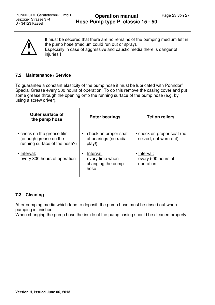

It must be secured that there are no remains of the pumping medium left in the pump hose (medium could run out or spray). Especially in case of aggressive and caustic media there is danger of injuries !

#### **7.2 Maintenance / Service**

To guarantee a constant elasticity of the pump hose it must be lubricated with Ponndorf Special Grease every 300 hours of operation. To do this remove the casing cover and put some grease through the opening onto the running surface of the pump hose (e.g. by using a screw driver).

| <b>Outer surface of</b><br>the pump hose                                             | <b>Rotor bearings</b>                                     | <b>Teflon rollers</b>                               |
|--------------------------------------------------------------------------------------|-----------------------------------------------------------|-----------------------------------------------------|
| • check on the grease film<br>(enough grease on the<br>running surface of the hose?) | check on proper seat<br>of bearings (no radial<br>play!)  | • check on proper seat (no<br>seized, not worn out) |
| • Interval:<br>every 300 hours of operation                                          | Interval:<br>every time when<br>changing the pump<br>hose | • Interval:<br>every 500 hours of<br>operation      |

#### **7.3 Cleaning**

After pumping media which tend to deposit, the pump hose must be rinsed out when pumping is finished.

When changing the pump hose the inside of the pump casing should be cleaned properly.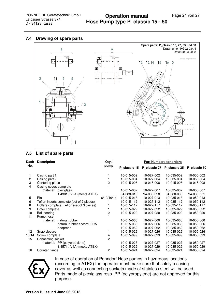#### **7.4 Drawing of spare parts**



#### **7.5 List of spare parts**

| Dash           | <b>Description</b>                         | $Qty$ ./<br>pump | <b>Part Numbers for orders</b> |            |                           |              |
|----------------|--------------------------------------------|------------------|--------------------------------|------------|---------------------------|--------------|
| No.            |                                            |                  | P classic 15                   |            | P_classic 27 P_classic 35 | P classic 50 |
|                | Casing part 1                              |                  | 10-015-002                     | 10-027-002 | 10-035-002                | 10-050-002   |
| $\overline{2}$ | Casing part 2                              |                  | 10-015-004                     | 10-027-004 | 10-035-004                | 10-050-004   |
| 3              | Centering piece                            | $\overline{c}$   | 10-015-008                     | 10-015-008 | 10-015-008                | 10-015-008   |
| 4              | Casing cover, complete                     |                  |                                |            |                           |              |
|                | material: plexiglass                       |                  | 10-015-007                     | 10-027-007 | 10-035-007                | 10-050-007   |
|                | 1.4301 / V2A (meets ATEX)                  |                  | 94-080-016                     | 94-080-028 | 94-080-036                | 94-080-051   |
| 5              | Pin.                                       | 6/10/10/14       | 10-015-013                     | 10-027-013 | 10-035-013                | 10-050-013   |
| 6              | Teflon inserts complete (set of 2 pieces)  |                  | 10-015-112                     | 10-027-112 | 10-035-112                | 10-050-112   |
| 8              | Rollers complete, Teflon (set of 3 pieces) |                  | 10-015-117                     | 10-027-117 | 10-035-117                | 10-050-117   |
| 9              | Rotor complete                             |                  | 10-015-022                     | 10-027-022 | 10-035-022                | 10-050-022   |
| 10             | <b>Ball bearing</b>                        | 2                | 10-015-020                     | 10-027-020 | 10-035-020                | 10-050-020   |
| 11             | Pump hose                                  |                  |                                |            |                           |              |
|                | natural rubber<br>material:                |                  | 10-015-060                     | 10-027-060 | 10-035-060                | 10-050-060   |
|                | natural rubber accord. FDA                 |                  | 10-015-066                     | 10-027-066 | 10-035-066                | 10-050-066   |
|                | neoprene                                   |                  | 10-015-062                     | 10-027-062 | 10-035-062                | 10-050-062   |
| 12             | Snap closure                               |                  | 10-015-026                     | 10-027-026 | 10-035-026                | 10-050-026   |
| 13/14          | Screw complete                             | 4                | 10-015-099                     | 10-027-099 | 10-035-099                | 10-050-099   |
| 15             | Connecting socket                          | $\overline{2}$   |                                |            |                           |              |
|                | material: PP (polypropylene)               |                  | 10-015-027                     | 10-027-027 | 10-035-027                | 10-050-027   |
|                | 1.4571 / V4A (meets ATEX)                  |                  | 10-015-029                     | 10-027-029 | 10-035-029                | 10-050-029   |
| 16             | Counter flange                             | 2                | 10-015-024                     | 10-027-024 | 10-035-024                | 10-050-024   |



In case of operation of Ponndorf Hose pumps in hazardous locations (according to ATEX) the operator must make sure that solely a casing cover as well as connecting sockets made of stainless steel will be used. Parts made of plexiglass resp. PP (polypropylene) are not approved for this purpose.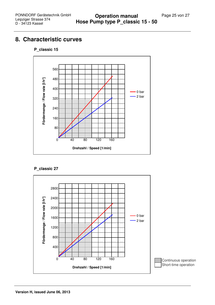# **8. Characteristic curves**



#### **P\_classic 15**

#### **P\_classic 27**

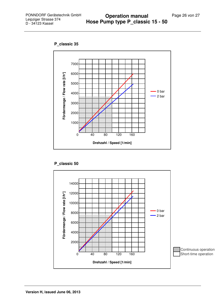**P\_classic 35**